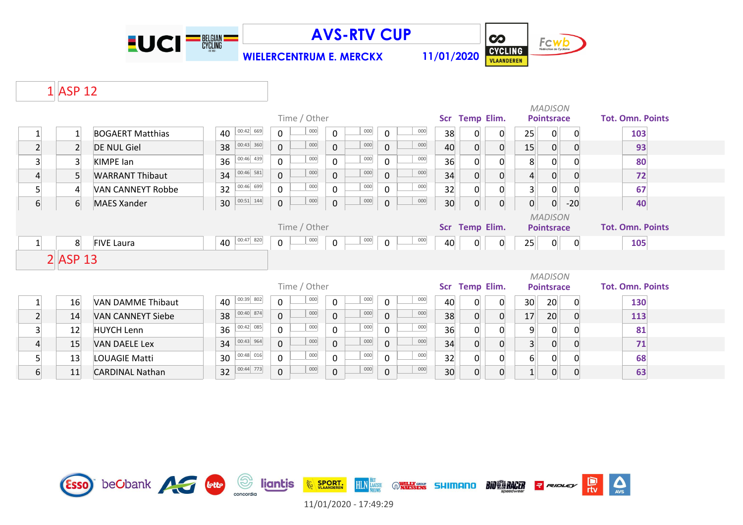

**WIELERCENTRUM E. MERCKX 11/01/2020**



 $\sum_{\text{AVS}}$ 

### 1 ASP 12

|                  |                   |                          |                     |                            |                    |              |     |                 |                |                |                 | <b>MADISON</b>    |                |                         |  |
|------------------|-------------------|--------------------------|---------------------|----------------------------|--------------------|--------------|-----|-----------------|----------------|----------------|-----------------|-------------------|----------------|-------------------------|--|
|                  |                   |                          |                     | Time / Other               |                    |              |     |                 | Scr Temp Elim. |                |                 | <b>Pointsrace</b> |                | <b>Tot. Omn. Points</b> |  |
|                  | $\mathbf{1}$      | <b>BOGAERT Matthias</b>  | $ 00:42 $ 669<br>40 | 000<br>0                   | 000<br>$\mathbf 0$ | $\Omega$     | 000 | 38              | 0              | $\overline{0}$ | 25              | $\mathbf{0}$      | $\Omega$       | 103                     |  |
| $\overline{2}$   | $\overline{2}$    | <b>DE NUL Giel</b>       | $00:43$ 360<br>38   | 000<br>$\overline{0}$      | 000<br>$\mathbf 0$ | $\Omega$     | 000 | 40              | $\overline{0}$ | $\overline{0}$ | 15              | $\mathbf{0}$      | 0              | 93                      |  |
| $\overline{3}$   | $\overline{3}$    | <b>KIMPE</b> lan         | $00:46$ 439<br>36   | 000<br>$\mathsf{O}$        | 000<br>$\mathbf 0$ | $\mathbf{0}$ | 000 | 36              | $\Omega$       | $\overline{0}$ | 8               | 0                 | C              | 80                      |  |
| 4                | 5                 | <b>WARRANT Thibaut</b>   | $00:46$ 581<br>34   | 000<br>$\mathbf 0$         | 000<br>$\mathbf 0$ | $\mathbf{0}$ | 000 | 34              | $\overline{0}$ | $\overline{0}$ |                 | $\overline{0}$    |                | 72                      |  |
| $\mathsf{S}$     | $\overline{4}$    | <b>VAN CANNEYT Robbe</b> | $00:46$ 699<br>32   | 000<br>$\mathbf 0$         | 000<br>$\mathbf 0$ | $\mathbf 0$  | 000 | 32              |                | $\Omega$       | 3 <sup>1</sup>  | $\Omega$          |                | 67                      |  |
| $6 \overline{6}$ | 6                 | <b>MAES Xander</b>       | $00:51$ 144<br>30   | 000<br>$\mathsf{O}\xspace$ | 000<br>$\pmb{0}$   | $\mathbf 0$  | 000 | 30 <sup>°</sup> | $\Omega$       | $\overline{0}$ | $\Omega$        | $\overline{0}$    | $-20$          | 40                      |  |
|                  |                   |                          |                     |                            |                    |              |     |                 |                |                |                 | <b>MADISON</b>    |                |                         |  |
|                  |                   |                          |                     | Time / Other               |                    |              |     |                 | Scr Temp Elim. |                |                 | <b>Pointsrace</b> |                | <b>Tot. Omn. Points</b> |  |
| $\mathbf{1}$     | 8                 | <b>FIVE Laura</b>        | 00:47 820<br>40     | 000<br>$\mathbf 0$         | 000<br>$\mathbf 0$ | $\mathbf 0$  | 000 | 40              | $\overline{0}$ | $\overline{0}$ | 25              | 0                 | $\overline{0}$ | 105                     |  |
|                  | $2$ <b>ASP</b> 13 |                          |                     |                            |                    |              |     |                 |                |                |                 |                   |                |                         |  |
|                  |                   |                          |                     |                            |                    |              |     |                 |                |                |                 | <b>MADISON</b>    |                |                         |  |
|                  |                   |                          |                     | Time / Other               |                    |              |     |                 | Scr Temp Elim. |                |                 | <b>Pointsrace</b> |                | <b>Tot. Omn. Points</b> |  |
|                  | 16                | <b>VAN DAMME Thibaut</b> | $ 00:39 $ 802<br>40 | 000<br>$\mathbf 0$         | 000<br>$\mathbf 0$ | $\mathbf{0}$ | 000 | 40              | 0              | $\overline{0}$ | 30 <sup>°</sup> | 20                | 0              | 130                     |  |
| $\overline{2}$   | 14                | <b>VAN CANNEYT Siebe</b> | 00:40 874<br>38     | 000<br>$\overline{0}$      | 000<br>$\mathbf 0$ | $\Omega$     | 000 | 38              | $\overline{0}$ | $\overline{0}$ | 17              | 20 <sup>°</sup>   | 0              | 113                     |  |
| $\overline{3}$   | 12                | <b>HUYCH Lenn</b>        | $00:42$ 085<br>36   | 000<br>$\mathbf 0$         | 000<br>$\mathbf 0$ | $\Omega$     | 000 | 36              | 0              | 0              | 9               | $\Omega$          | $\Omega$       | 81                      |  |
| $\overline{4}$   | 15                | <b>VAN DAELE Lex</b>     | $00:43$ 964<br>34   | $\mathsf{O}\xspace$<br>000 | 000<br>$\mathbf 0$ | $\mathbf{0}$ | 000 | 34              | 0              | $\overline{0}$ | 3 <sup>1</sup>  | $\mathbf{0}$      | 0              | 71                      |  |
| 5                | 13                | <b>LOUAGIE Matti</b>     | $00:48$ 016<br>30   | 000<br>$\mathbf 0$         | 000<br>$\mathbf 0$ | $\mathbf{0}$ | 000 | 32              | 0              | $\mathbf{O}$   | 6               | 0                 |                | 68                      |  |
| $6 \overline{6}$ | 11                | <b>CARDINAL Nathan</b>   | 00:44 773<br>32     | 000<br>$\mathbf 0$         | 000<br>$\mathbf 0$ | $\mathbf 0$  | 000 | 30 <sup>°</sup> | 0              | $\overline{0}$ | $\mathbf{1}$    | $\overline{0}$    | 0              | 63                      |  |

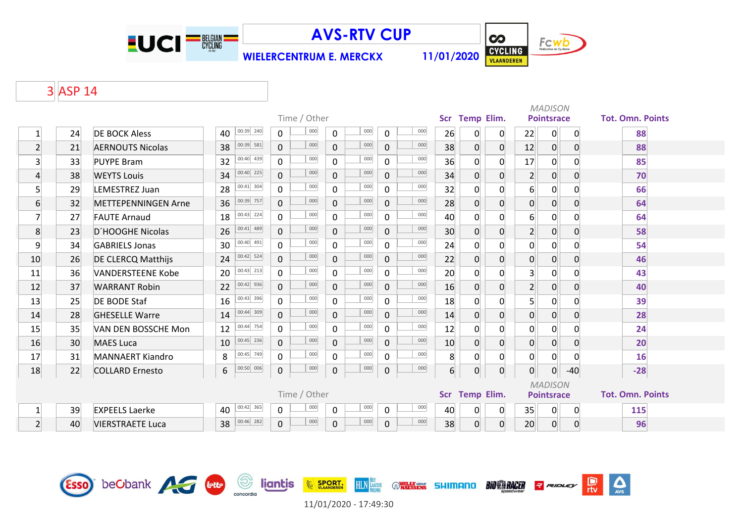

Esso beCbank **Alta Cette** Soncordia li**gnitis** 

# **AVS-RTV CUP**

**WIELERCENTRUM E. MERCKX 11/01/2020**



 $\sum_{\text{AVS}}$ 

믮

**BIO BRACER** Report

 $\overline{\mathbf{c}}$ 

# 3 ASP 14

|                 |    |                            |                     |             |                |              |              |     |                  |     |                |                | <b>MADISON</b> |                  |                   |                |                         |  |  |  |
|-----------------|----|----------------------------|---------------------|-------------|----------------|--------------|--------------|-----|------------------|-----|----------------|----------------|----------------|------------------|-------------------|----------------|-------------------------|--|--|--|
|                 |    |                            |                     |             |                | Time / Other |              |     |                  |     |                | Scr Temp Elim. |                |                  | <b>Pointsrace</b> |                | <b>Tot. Omn. Points</b> |  |  |  |
| $\mathbf 1$     | 24 | <b>DE BOCK Aless</b>       | $00:39$ 240<br>40   |             | 0              | 000          | 0            | 000 | 0                | 000 | 26             | 0              | $\overline{0}$ | 22               | $\mathbf{O}$      | $\overline{0}$ | 88                      |  |  |  |
| $\overline{2}$  | 21 | <b>AERNOUTS Nicolas</b>    | 38                  | $00:39$ 581 | $\Omega$       | 000          | $\mathbf{0}$ | 000 | $\mathbf 0$      | 000 | 38             | $\overline{0}$ | $\overline{0}$ | 12               | $\overline{0}$    | $\overline{0}$ | 88                      |  |  |  |
| 3               | 33 | <b>PUYPE Bram</b>          | 32                  | $00:40$ 439 | $\Omega$       | 000          | 0            | 000 | 0                | 000 | 36             | $\mathbf 0$    | $\overline{0}$ | 17               | 0                 | $\Omega$       | 85                      |  |  |  |
| $\overline{4}$  | 38 | <b>WEYTS Louis</b>         | 34                  | $00:40$ 225 | $\Omega$       | 000          | $\mathbf 0$  | 000 | $\mathbf 0$      | 000 | 34             | $\overline{0}$ | $\overline{0}$ | $\overline{2}$   | 0                 | $\overline{0}$ | 70                      |  |  |  |
| $5\overline{)}$ | 29 | LEMESTREZ Juan             | 28                  | $00:41$ 304 | $\Omega$       | 000          | $\Omega$     | 000 | $\mathbf 0$      | 000 | 32             | $\mathbf 0$    | $\Omega$       | 6 <sup>1</sup>   | 0                 | 0              | 66                      |  |  |  |
| $6 \overline{}$ | 32 | <b>METTEPENNINGEN Arne</b> | 36                  | 00:39 757   | $\mathbf{0}$   | 000          | $\mathbf 0$  | 000 | $\mathbf 0$      | 000 | 28             | $\pmb{0}$      | $\overline{0}$ | $\overline{0}$   | 0                 | $\mathbf 0$    | 64                      |  |  |  |
| $\overline{7}$  | 27 | <b>FAUTE Arnaud</b>        | 18                  | $00:43$ 224 | $\Omega$       | 000          | $\Omega$     | 000 | $\Omega$         | 000 | 40             | $\overline{0}$ | $\Omega$       | $6 \overline{6}$ | $\Omega$          | $\Omega$       | 64                      |  |  |  |
| 8               | 23 | D'HOOGHE Nicolas           | 26                  | $00:41$ 489 | $\overline{0}$ | 000          | $\mathbf 0$  | 000 | $\mathbf 0$      | 000 | 30             | $\mathbf 0$    | $\overline{0}$ | $2\vert$         | 0                 | $\mathbf 0$    | 58                      |  |  |  |
| 9               | 34 | <b>GABRIELS Jonas</b>      | 30                  | $00:40$ 491 | 0              | 000          | 0            | 000 | $\mathbf 0$      | 000 | 24             | $\mathbf 0$    | $\overline{0}$ | $\overline{0}$   | 0                 | $\overline{0}$ | 54                      |  |  |  |
| 10              | 26 | DE CLERCQ Matthijs         | $00:42$ 524<br>24   |             | $\overline{0}$ | 000          | $\mathbf 0$  | 000 | $\mathbf 0$      | 000 | 22             | $\overline{0}$ | $\overline{0}$ | $\mathsf{O}$     | 0                 | $\mathbf 0$    | 46                      |  |  |  |
| 11              | 36 | <b>VANDERSTEENE Kobe</b>   | $ 00:43 $ 213<br>20 |             | $\overline{0}$ | 000          | 0            | 000 | $\mathbf 0$      | 000 | 20             | 0              | $\Omega$       | 3 <sup>1</sup>   | $\Omega$          | $\Omega$       | 43                      |  |  |  |
| 12              | 37 | <b>WARRANT Robin</b>       | 22                  | $00:42$ 936 | $\Omega$       | 000          | $\mathbf{0}$ | 000 | $\mathbf 0$      | 000 | 16             | $\overline{0}$ | $\overline{0}$ | $2\vert$         | $\Omega$          | $\mathbf 0$    | 40                      |  |  |  |
| 13              | 25 | <b>DE BODE Staf</b>        | 16                  | $00:43$ 396 | $\overline{0}$ | 000          | 0            | 000 | 0                | 000 | 18             | $\overline{0}$ | $\overline{0}$ | 5 <sup>1</sup>   | 0                 | 0              | 39                      |  |  |  |
| 14              | 28 | <b>GHESELLE Warre</b>      | 14                  | 00:44 309   | $\overline{0}$ | 000          | $\mathbf{0}$ | 000 | $\mathbf 0$      | 000 | 14             | $\overline{0}$ | $\overline{0}$ | $\overline{0}$   | 0                 | $\mathbf 0$    | 28                      |  |  |  |
| 15              | 35 | VAN DEN BOSSCHE Mon        | 12                  | $00:44$ 754 | $\overline{0}$ | 000          | 0            | 000 | 0                | 000 | 12             | $\mathbf 0$    | 0              | $\overline{0}$   | 0                 | $\mathbf 0$    | 24                      |  |  |  |
| 16              | 30 | <b>MAES Luca</b>           | $ 00:45 $ 236<br>10 |             | $\mathbf{0}$   | 000          | $\mathbf 0$  | 000 | $\mathbf 0$      | 000 | 10             | $\overline{0}$ | $\overline{0}$ | $\overline{0}$   | $\overline{0}$    | $\mathbf 0$    | 20                      |  |  |  |
| 17              | 31 | <b>MANNAERT Kiandro</b>    | 8                   | 00:45 749   | $\overline{0}$ | 000          | $\mathbf 0$  | 000 | $\mathbf 0$      | 000 | 8              | $\mathbf 0$    | $\overline{0}$ | $\overline{0}$   | $\overline{0}$    | $\Omega$       | 16                      |  |  |  |
| 18              | 22 | <b>COLLARD Ernesto</b>     | 6                   | $00:50$ 006 | 0              | 000          | $\pmb{0}$    | 000 | $\boldsymbol{0}$ | 000 | $\overline{6}$ | $\pmb{0}$      | 0              | 0                | 0                 | $-40$          | $-28$                   |  |  |  |
|                 |    |                            |                     |             |                |              |              |     |                  |     |                |                |                |                  | <b>MADISON</b>    |                |                         |  |  |  |
|                 |    |                            |                     |             |                | Time / Other |              |     |                  |     |                | Scr Temp Elim. |                |                  | <b>Pointsrace</b> |                | <b>Tot. Omn. Points</b> |  |  |  |
| $\mathbf{1}$    | 39 | <b>EXPEELS Laerke</b>      | $00:42$ 365<br>40   |             | 0              | 000          | 0            | 000 | 0                | 000 | 40             | $\mathbf 0$    | 0              | 35               | $\mathsf{O}$      | $\overline{0}$ | 115                     |  |  |  |
| $\overline{2}$  | 40 | <b>VIERSTRAETE Luca</b>    | $00:46$ 282<br>38   |             | $\mathbf{0}$   | 000          | $\mathbf{0}$ | 000 | $\overline{0}$   | 000 | 38             | $\overline{0}$ | $\overline{0}$ | 20               | 0                 | 0              | 96                      |  |  |  |



**HLN** LAATSTE

**WILLY GROUP** 

**SHIMANO** 

**EXAMPLE SPORT.**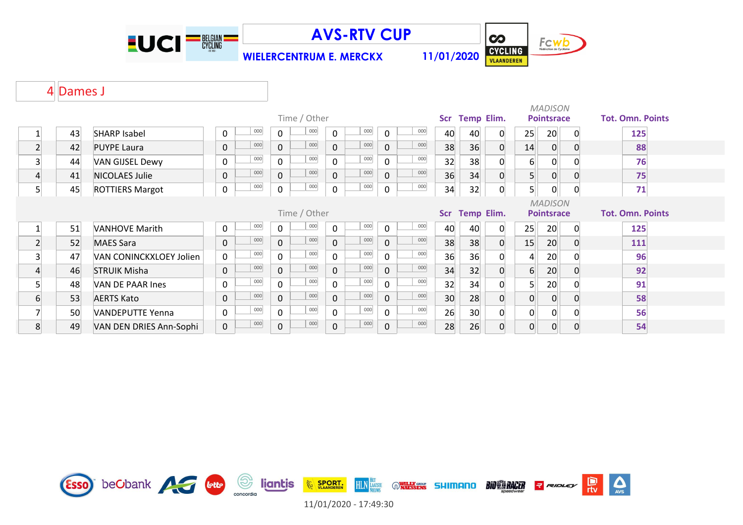

**WIELERCENTRUM E. MERCKX 11/01/2020**



### Dames J

|              | Time / Other |                         |              |     |              |                |              |                   |                |                         |    |    |                |                | <b>MADISON</b>    |          |                         |  |  |  |  |  |  |  |
|--------------|--------------|-------------------------|--------------|-----|--------------|----------------|--------------|-------------------|----------------|-------------------------|----|----|----------------|----------------|-------------------|----------|-------------------------|--|--|--|--|--|--|--|
|              |              |                         |              |     |              | Scr Temp Elim. |              | <b>Pointsrace</b> |                | <b>Tot. Omn. Points</b> |    |    |                |                |                   |          |                         |  |  |  |  |  |  |  |
|              | 43           | <b>SHARP Isabel</b>     | $\mathbf{0}$ | 000 | $\Omega$     | 000            | $\mathbf 0$  | $000\,$           | $\mathbf 0$    | 000                     | 40 | 40 | 0              | 25             | 20 <sup>°</sup>   | 0        | 125                     |  |  |  |  |  |  |  |
| $\mathbf{2}$ | 42           | <b>PUYPE Laura</b>      | 0            | 000 | $\mathbf 0$  | 000            | $\mathbf 0$  | 000               | $\mathbf 0$    | 000                     | 38 | 36 | $\overline{0}$ | 14             | $\overline{0}$    |          | 88                      |  |  |  |  |  |  |  |
| 3            | 44           | <b>VAN GIJSEL Dewy</b>  | $\mathsf{O}$ | 000 | $\Omega$     | 000            | $\mathbf 0$  | $000\,$           | $\mathbf 0$    | 000                     | 32 | 38 | 0              | 6              | 0                 |          | 76                      |  |  |  |  |  |  |  |
| 4            | 41           | NICOLAES Julie          | 0            | 000 | $\mathbf 0$  | 000            | $\mathbf 0$  | 000               | $\mathbf 0$    | 000                     | 36 | 34 | 0              | 5 <sup>1</sup> | $\overline{0}$    |          | 75                      |  |  |  |  |  |  |  |
| 5            | 45           | <b>ROTTIERS Margot</b>  | 0            | 000 | $\mathbf 0$  | 000            | $\mathbf 0$  | 000               | $\mathbf 0$    | $000\,$                 | 34 | 32 | 0              | 5              | $\mathsf{O}$      | 0        | 71                      |  |  |  |  |  |  |  |
|              |              |                         |              |     |              |                |              |                   |                |                         |    |    |                |                | <b>MADISON</b>    |          |                         |  |  |  |  |  |  |  |
|              |              |                         |              |     |              | Time / Other   |              |                   |                |                         |    |    | Scr Temp Elim. |                | <b>Pointsrace</b> |          | <b>Tot. Omn. Points</b> |  |  |  |  |  |  |  |
|              | 51           | <b>VANHOVE Marith</b>   | 0            | 000 | $\mathbf{0}$ | $000\,$        | $\mathbf 0$  | $000\,$           | $\mathbf 0$    | 000                     | 40 | 40 | $\Omega$       | 25             | 20                | $\Omega$ | 125                     |  |  |  |  |  |  |  |
| $\mathbf{2}$ | 52           | <b>MAES Sara</b>        | 0            | 000 | $\Omega$     | 000            | $\Omega$     | 000               | $\mathbf{0}$   | 000                     | 38 | 38 | 0              | 15             | 20                |          | 111                     |  |  |  |  |  |  |  |
| 3            | 47           | VAN CONINCKXLOEY Jolien | $\mathbf 0$  | 000 | $\Omega$     | 000            | $\Omega$     | $000\,$           | $\Omega$       | 000                     | 36 | 36 |                | $\overline{4}$ | 20                |          | 96                      |  |  |  |  |  |  |  |
| 4            | 46           | <b>STRUIK Misha</b>     | $\mathbf 0$  | 000 | $\Omega$     | 000            | $\Omega$     | 000               | $\overline{0}$ | 000                     | 34 | 32 | 0              | 6              | 20                |          | 92                      |  |  |  |  |  |  |  |
| 5            | 48           | VAN DE PAAR Ines        | $\mathbf 0$  | 000 | $\mathbf{0}$ | 000            | $\mathbf 0$  | 000               | $\mathbf 0$    | 000                     | 32 | 34 |                | 5 <sup>1</sup> | 20                |          | 91                      |  |  |  |  |  |  |  |
| 6            | 53           | <b>AERTS Kato</b>       | 0            | 000 | $\mathbf{0}$ | 000            | $\mathbf 0$  | 000               | $\mathbf{0}$   | 000                     | 30 | 28 | 0              | $\overline{0}$ | $\overline{0}$    |          | 58                      |  |  |  |  |  |  |  |
|              | 50           | <b>VANDEPUTTE Yenna</b> | $\mathsf{O}$ | 000 | $\Omega$     | 000            | $\mathbf{0}$ | 000               | $\Omega$       | 000                     | 26 | 30 | 0              | $\Omega$       | 0                 |          | 56                      |  |  |  |  |  |  |  |
| 8            | 49           | VAN DEN DRIES Ann-Sophi | $\mathbf 0$  | 000 | $\Omega$     | 000            | 0            | 000               | $\overline{0}$ | 000                     | 28 | 26 | 0              | $\overline{0}$ | $\overline{0}$    | 0        | 54                      |  |  |  |  |  |  |  |



11/01/2020 - 17:49:30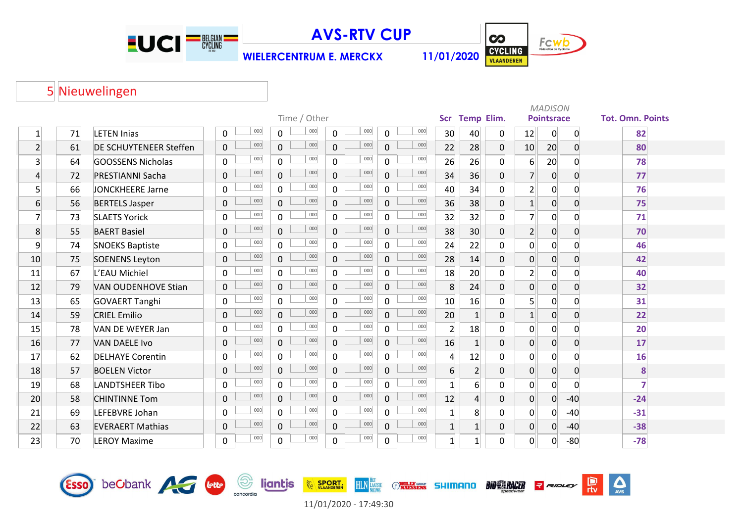

**WIELERCENTRUM E. MERCKX 11/01/2020**



 $\Delta$ 

 $\frac{D}{\pi v}$ 

RIDLEY

Nieuwelingen

|                 | <b>Scr</b>   |                               |             |     |                |     |              |     |                |     |                |                  |          |                   | <b>MADISON</b> |                |                         |
|-----------------|--------------|-------------------------------|-------------|-----|----------------|-----|--------------|-----|----------------|-----|----------------|------------------|----------|-------------------|----------------|----------------|-------------------------|
|                 | Time / Other |                               |             |     |                |     |              |     |                |     |                |                  |          | <b>Pointsrace</b> |                |                | <b>Tot. Omn. Points</b> |
| $\mathbf{1}$    | 71           | <b>LETEN Inias</b>            | $\mathbf 0$ | 000 | 0              | 000 | 0            | 000 | 0              | 000 | 30             | 40               | 0        | 12                | 0              | 0              | 82                      |
| $\overline{2}$  | 61           | <b>DE SCHUYTENEER Steffen</b> | $\Omega$    | 000 | $\overline{0}$ | 000 | $\mathbf{0}$ | 000 | $\mathbf{0}$   | 000 | 22             | 28               | $\Omega$ | 10                | 20             | $\Omega$       | 80                      |
| $\overline{3}$  | 64           | <b>GOOSSENS Nicholas</b>      | 0           | 000 | $\overline{0}$ | 000 | $\mathbf 0$  | 000 | 0              | 000 | 26             | 26               | 0        | 6                 | 20             | $\Omega$       | 78                      |
| $\vert 4 \vert$ | 72           | <b>PRESTIANNI Sacha</b>       | $\mathbf 0$ | 000 | $\overline{0}$ | 000 | $\mathbf 0$  | 000 | 0              | 000 | 34             | 36               | 0        | $\overline{7}$    | 0              | $\Omega$       | 77                      |
| $\overline{5}$  | 66           | <b>JONCKHEERE Jarne</b>       | $\Omega$    | 000 | 0              | 000 | $\mathbf 0$  | 000 | 0              | 000 | 40             | 34               | O.       | $\overline{2}$    | 0              |                | 76                      |
| $\overline{6}$  | 56           | <b>BERTELS Jasper</b>         | $\mathbf 0$ | 000 | $\overline{0}$ | 000 | $\mathbf{0}$ | 000 | $\mathbf 0$    | 000 | 36             | 38               | 0        | $1\vert$          | 0              | 0              | 75                      |
| $\overline{7}$  | 73           | <b>SLAETS Yorick</b>          | $\Omega$    | 000 | $\overline{0}$ | 000 | $\Omega$     | 000 | $\Omega$       | 000 | 32             | 32               | 0        | $\overline{7}$    | 0              | <sup>0</sup>   | 71                      |
| 8               | 55           | <b>BAERT Basiel</b>           | $\Omega$    | 000 | $\overline{0}$ | 000 | $\mathbf 0$  | 000 | $\mathbf 0$    | 000 | 38             | 30               | 0        | $\overline{2}$    | 0              | $\Omega$       | 70                      |
| $\overline{9}$  | 74           | <b>SNOEKS Baptiste</b>        | $\mathbf 0$ | 000 | $\overline{0}$ | 000 | $\mathbf 0$  | 000 | 0              | 000 | 24             | 22               | 0        | $\overline{0}$    | 0              | $\Omega$       | 46                      |
| 10              | 75           | <b>SOENENS Leyton</b>         | $\mathbf 0$ | 000 | 0              | 000 | $\mathbf 0$  | 000 | 0              | 000 | 28             | 14               | 0        | $\overline{0}$    | 0              | $\Omega$       | 42                      |
| 11              | 67           | L'EAU Michiel                 | $\mathbf 0$ | 000 | $\mathbf 0$    | 000 | $\mathbf 0$  | 000 | 0              | 000 | 18             | 20               | 0        | $\overline{2}$    | 0              | $\Omega$       | 40                      |
| 12              | 79           | <b>VAN OUDENHOVE Stian</b>    | $\mathbf 0$ | 000 | $\overline{0}$ | 000 | $\mathbf{0}$ | 000 | $\overline{0}$ | 000 | 8              | 24               | 0        | $\overline{0}$    | $\overline{0}$ | $\overline{0}$ | 32                      |
| 13              | 65           | <b>GOVAERT Tanghi</b>         | $\mathbf 0$ | 000 | $\overline{0}$ | 000 | $\mathbf 0$  | 000 | 0              | 000 | 10             | 16               | 0        | 5 <sup>1</sup>    | $\overline{0}$ | $\Omega$       | 31                      |
| 14              | 59           | <b>CRIEL Emilio</b>           | $\mathbf 0$ | 000 | $\overline{0}$ | 000 | $\mathbf 0$  | 000 | 0              | 000 | 20             | 1                | 0        | $1\overline{ }$   | $\overline{0}$ | $\Omega$       | 22                      |
| 15              | 78           | VAN DE WEYER Jan              | $\Omega$    | 000 | $\overline{0}$ | 000 | $\mathbf 0$  | 000 | 0              | 000 | $\overline{2}$ | 18               | 0        | $\Omega$          | $\Omega$       |                | 20                      |
| 16              | 77           | <b>VAN DAELE Ivo</b>          | $\mathbf 0$ | 000 | $\overline{0}$ | 000 | $\mathbf 0$  | 000 | $\overline{0}$ | 000 | 16             | 1                | 0        | $\overline{0}$    | $\overline{0}$ | $\Omega$       | 17                      |
| 17              | 62           | <b>DELHAYE Corentin</b>       | $\Omega$    | 000 | $\overline{0}$ | 000 | $\mathbf 0$  | 000 | 0              | 000 | $\overline{4}$ | 12               | 0        | $\Omega$          | $\Omega$       | <sup>0</sup>   | 16                      |
| 18              | 57           | <b>BOELEN Victor</b>          | $\mathbf 0$ | 000 | $\overline{0}$ | 000 | $\mathbf 0$  | 000 | 0              | 000 | 6              | $\overline{2}$   | 0        | $\overline{0}$    | 0              | $\Omega$       | 8                       |
| 19              | 68           | <b>LANDTSHEER Tibo</b>        | $\Omega$    | 000 | $\overline{0}$ | 000 | $\mathbf 0$  | 000 | 0              | 000 |                | $6 \overline{6}$ | O.       | 0                 | $\Omega$       | <sup>n</sup>   | 7                       |
| 20              | 58           | <b>CHINTINNE Tom</b>          | $\mathbf 0$ | 000 | $\overline{0}$ | 000 | $\mathbf 0$  | 000 | 0              | 000 | 12             | $\vert 4 \vert$  | 0        | $\overline{0}$    | $\overline{0}$ | $-40$          | $-24$                   |
| 21              | 69           | LEFEBVRE Johan                | 0           | 000 | $\overline{0}$ | 000 | $\mathbf 0$  | 000 | 0              | 000 | $\mathbf{1}$   | 8                | 0        | $\Omega$          | $\overline{0}$ | $-40$          | $-31$                   |
| 22              | 63           | <b>EVERAERT Mathias</b>       | $\mathbf 0$ | 000 | $\overline{0}$ | 000 | $\mathbf 0$  | 000 | 0              | 000 | $\mathbf{1}$   | $\mathbf{1}$     | 0        | 0                 | 0              | $-40$          | $-38$                   |
| 23              | 70           | <b>LEROY Maxime</b>           | $\Omega$    | 000 | 0              | 000 | $\mathbf 0$  | 000 | 0              | 000 | $\mathbf{1}$   | $\mathbf{1}$     | $\Omega$ | 0                 | 0              | $-80$          | $-78$                   |



**HLN**<br>**HLN**<br>NEIWS

**WILLY GROUP SHIMANO** 

**BIO CA RACER** 

**EXAMPLE SPORT.** 

 $\bigodot$ <br>concordia

**liantis** 

Esso beCbank AG bub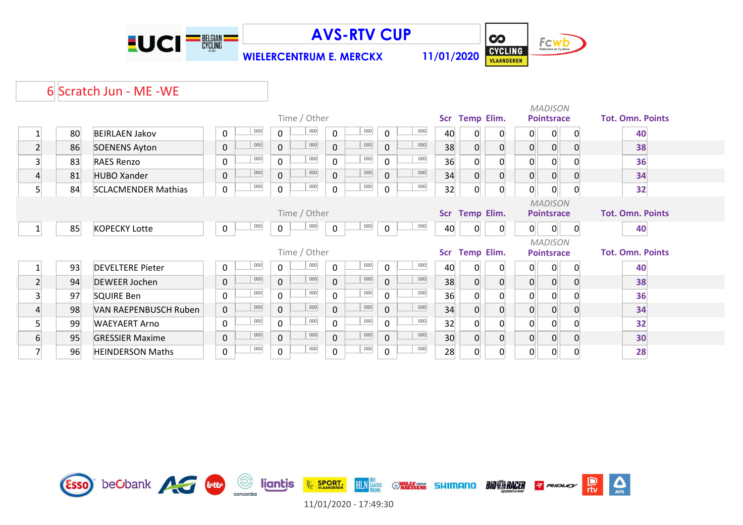



 $\sum_{\text{AVS}}$ 

믮

**WIELERCENTRUM E. MERCKX 11/01/2020**

### 6 Scratch Jun - ME -WE

|                |    |                            |                     |     |                |              |                |     |              |     |                 |                   |                |                | <b>MADISON</b>    |   |                         |
|----------------|----|----------------------------|---------------------|-----|----------------|--------------|----------------|-----|--------------|-----|-----------------|-------------------|----------------|----------------|-------------------|---|-------------------------|
|                |    |                            |                     |     |                | Time / Other |                |     |              |     |                 | Scr Temp Elim.    |                |                | <b>Pointsrace</b> |   | <b>Tot. Omn. Points</b> |
|                | 80 | <b>BEIRLAEN Jakov</b>      | 0                   | 000 | $\mathbf 0$    | 000          | $\mathsf{O}$   | 000 | $\Omega$     | 000 | 40              | 0                 | 0              | $\mathbf{0}$   | 0                 | 0 | 40                      |
| $\overline{2}$ | 86 | <b>SOENENS Ayton</b>       | $\mathsf{O}\xspace$ | 000 | $\mathbf{0}$   | 000          | $\mathbf 0$    | 000 | $\mathbf 0$  | 000 | 38              | $\overline{0}$    | 0              | $\mathbf{O}$   | $\overline{0}$    | 0 | 38                      |
| 3 <sup>1</sup> | 83 | <b>RAES Renzo</b>          | 0                   | 000 | $\mathbf 0$    | 000          | $\mathbf 0$    | 000 | $\Omega$     | 000 | 36              | $\overline{0}$    | 0              | 0              | 0                 |   | 36                      |
| 4              | 81 | <b>HUBO Xander</b>         | $\pmb{0}$           | 000 | $\overline{0}$ | 000          | $\mathbf 0$    | 000 | 0            | 000 | 34              | $\overline{0}$    | 0              | $\mathbf 0$    | $\overline{0}$    | 0 | 34                      |
| 5 <sup>1</sup> | 84 | <b>SCLACMENDER Mathias</b> | $\pmb{0}$           | 000 | $\mathbf 0$    | 000          | $\mathbf 0$    | 000 | 0            | 000 | 32              | $\overline{0}$    | 0              | 0              | $\mathbf 0$       | 0 | 32                      |
|                |    |                            |                     |     |                |              |                |     |              |     |                 |                   |                |                | <b>MADISON</b>    |   |                         |
|                |    |                            |                     |     |                | Time / Other |                |     |              |     |                 |                   | Scr Temp Elim. |                | <b>Pointsrace</b> |   | <b>Tot. Omn. Points</b> |
|                | 85 | <b>KOPECKY Lotte</b>       | 0                   | 000 | $\mathbf 0$    | 000          | $\mathbf 0$    | 000 | $\mathbf 0$  | 000 | 40              | $\overline{0}$    | 0              | 0              | 0                 | 0 | 40                      |
|                |    |                            |                     |     |                |              |                |     |              |     |                 |                   |                |                | <b>MADISON</b>    |   |                         |
|                |    |                            |                     |     |                | Time / Other |                |     |              |     | <b>Scr</b>      | <b>Temp Elim.</b> |                |                | <b>Pointsrace</b> |   | <b>Tot. Omn. Points</b> |
|                | 93 | <b>DEVELTERE Pieter</b>    | 0                   | 000 | $\mathbf 0$    | 000          | $\mathbf 0$    | 000 | $\Omega$     | 000 | 40              | $\overline{0}$    |                | $\overline{0}$ | $\overline{0}$    | 0 | 40                      |
| $\overline{2}$ | 94 | <b>DEWEER Jochen</b>       | 0                   | 000 | $\mathsf{O}$   | 000          | $\mathbf 0$    | 000 | $\mathbf{0}$ | 000 | 38              | $\overline{0}$    | 0              | $\mathbf{0}$   | $\overline{0}$    | 0 | 38                      |
| 3 <sup>1</sup> | 97 | <b>SQUIRE Ben</b>          | $\mathbf 0$         | 000 | $\mathsf{O}$   | 000          | $\mathbf 0$    | 000 | $\Omega$     | 000 | 36              | $\overline{0}$    |                | 0              | $\overline{0}$    |   | 36                      |
| 4              | 98 | VAN RAEPENBUSCH Ruben      | $\mathbf 0$         | 000 | $\mathsf{O}$   | 000          | $\overline{0}$ | 000 | $\mathbf{0}$ | 000 | 34              | $\overline{0}$    | 0              | $\mathbf{0}$   | $\overline{0}$    | 0 | 34                      |
| 5 <sup>1</sup> | 99 | <b>WAEYAERT Arno</b>       | 0                   | 000 | 0              | 000          | $\mathbf 0$    | 000 | $\Omega$     | 000 | 32              | $\overline{0}$    | 0              | 0              | $\mathbf 0$       |   | 32                      |
| 6              | 95 | <b>GRESSIER Maxime</b>     | $\pmb{0}$           | 000 | $\mathbf 0$    | 000          | $\mathsf{O}$   | 000 | 0            | 000 | 30 <sup>°</sup> | $\overline{0}$    | 0              | $\mathbf{0}$   | $\overline{0}$    | 0 | 30                      |
| 7              | 96 | <b>HEINDERSON Maths</b>    | $\pmb{0}$           | 000 | $\mathbf 0$    | 000          | 0              | 000 | 0            | 000 | 28              | 0                 | 0              | 0              | $\overline{0}$    | 0 | 28                      |

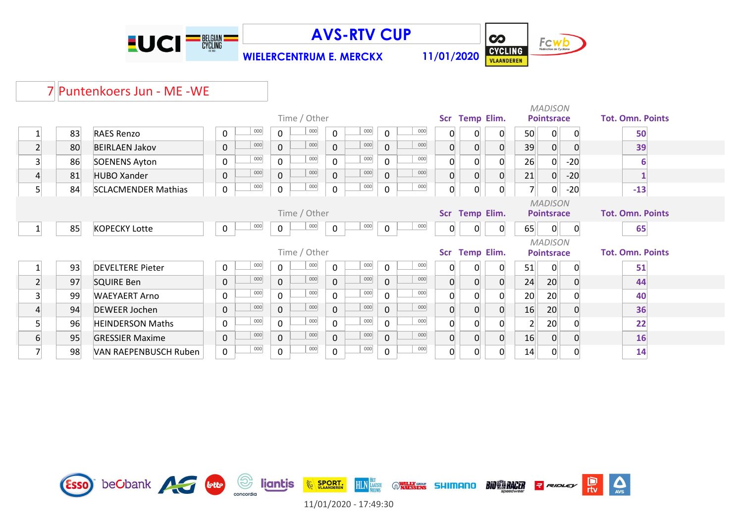

**WIELERCENTRUM E. MERCKX 11/01/2020**



 $\mathbb{R}$ 

 $\sum_{\text{AVS}}$ 

# 7 Puntenkoers Jun - ME -WE

|                 |    |                            |              |     |             |              |             |     |                |     |                |                   |                |                   | <b>MADISON</b>    |             |                         |
|-----------------|----|----------------------------|--------------|-----|-------------|--------------|-------------|-----|----------------|-----|----------------|-------------------|----------------|-------------------|-------------------|-------------|-------------------------|
|                 |    |                            |              |     |             | Time / Other |             |     |                |     | Scr Temp Elim. |                   |                | <b>Pointsrace</b> |                   |             | <b>Tot. Omn. Points</b> |
|                 | 83 | <b>RAES Renzo</b>          | 0            | 000 | $\mathbf 0$ | 000          | $\mathbf 0$ | 000 | $\mathbf{0}$   | 000 | 0              | 0                 | 0              | 50                | 0                 | 0           | 50                      |
| $\overline{2}$  | 80 | <b>BEIRLAEN Jakov</b>      | $\pmb{0}$    | 000 | $\mathbf 0$ | 000          | $\mathbf 0$ | 000 | $\mathbf{0}$   | 000 | 0              | $\Omega$          | $\overline{0}$ | 39                | $\overline{0}$    | 0           | 39                      |
| 3 <sup>1</sup>  | 86 | <b>SOENENS Ayton</b>       | $\mathbf 0$  | 000 | $\mathbf 0$ | 000          | $\mathbf 0$ | 000 | $\Omega$       | 000 | 0              | $\Omega$          | $\Omega$       | 26                | 0                 | $-20$       | 6                       |
| 4               | 81 | <b>HUBO Xander</b>         | $\pmb{0}$    | 000 | $\mathbf 0$ | 000          | $\mathbf 0$ | 000 | 0              | 000 | 0              | $\overline{0}$    | $\overline{0}$ | 21                | 0                 | $-20$       |                         |
| 5 <sup>1</sup>  | 84 | <b>SCLACMENDER Mathias</b> | $\mathsf{O}$ | 000 | $\mathbf 0$ | 000          | $\pmb{0}$   | 000 | 0              | 000 | 0              | $\overline{0}$    | 0              | $\overline{7}$    | 0                 | $-20$       | $-13$                   |
|                 |    |                            |              |     |             |              |             |     |                |     |                |                   |                |                   | <b>MADISON</b>    |             |                         |
|                 |    |                            |              |     |             | Time / Other |             |     |                |     |                | Scr Temp Elim.    |                |                   | <b>Pointsrace</b> |             | <b>Tot. Omn. Points</b> |
|                 | 85 | <b>KOPECKY Lotte</b>       | $\pmb{0}$    | 000 | $\pmb{0}$   | 000          | $\mathbf 0$ | 000 | $\overline{0}$ | 000 | $\Omega$       | $\overline{0}$    | $\overline{0}$ | 65                | 0                 | 0           | 65                      |
|                 |    |                            |              |     |             |              |             |     |                |     |                |                   |                |                   | <b>MADISON</b>    |             |                         |
|                 |    |                            |              |     |             | Time / Other |             |     |                |     | Scr            | <b>Temp Elim.</b> |                |                   | <b>Pointsrace</b> |             | <b>Tot. Omn. Points</b> |
|                 | 93 | <b>DEVELTERE Pieter</b>    | $\mathbf 0$  | 000 | $\mathbf 0$ | 000          | $\mathbf 0$ | 000 | $\Omega$       | 000 |                | 0                 | $\overline{0}$ | 51                | $\overline{0}$    | 0           | 51                      |
| $\overline{2}$  | 97 | <b>SQUIRE Ben</b>          | $\pmb{0}$    | 000 | $\mathbf 0$ | 000          | $\mathbf 0$ | 000 | $\mathbf 0$    | 000 |                | $\Omega$          | $\overline{0}$ | 24                | 20                |             | 44                      |
| $\overline{3}$  | 99 | <b>WAEYAERT Arno</b>       | $\mathbf 0$  | 000 | $\mathbf 0$ | 000          | $\mathbf 0$ | 000 | 0              | 000 |                |                   | $\Omega$       | 20                | 20                |             | 40                      |
| $\overline{4}$  | 94 | <b>DEWEER Jochen</b>       | $\pmb{0}$    | 000 | $\mathbf 0$ | 000          | $\mathbf 0$ | 000 | $\mathbf 0$    | 000 |                |                   | $\overline{0}$ | 16                | 20                | $\Omega$    | 36                      |
| $5\overline{)}$ | 96 | <b>HEINDERSON Maths</b>    | $\mathbf 0$  | 000 | $\mathbf 0$ | 000          | $\mathbf 0$ | 000 | $\Omega$       | 000 |                | $\Omega$          | $\Omega$       |                   | 20                |             | 22                      |
| 6               | 95 | <b>GRESSIER Maxime</b>     | $\mathbf 0$  | 000 | $\mathbf 0$ | 000          | $\mathbf 0$ | 000 | 0              | 000 | 0              | $\Omega$          | $\overline{0}$ | 16                | $\overline{0}$    | $\mathbf 0$ | 16                      |
|                 | 98 | VAN RAEPENBUSCH Ruben      | $\mathbf 0$  | 000 | $\mathsf 0$ | 000          | $\pmb{0}$   | 000 | $\mathbf 0$    | 000 |                | 0                 | $\overline{0}$ | 14                | 0                 | 0           | 14                      |